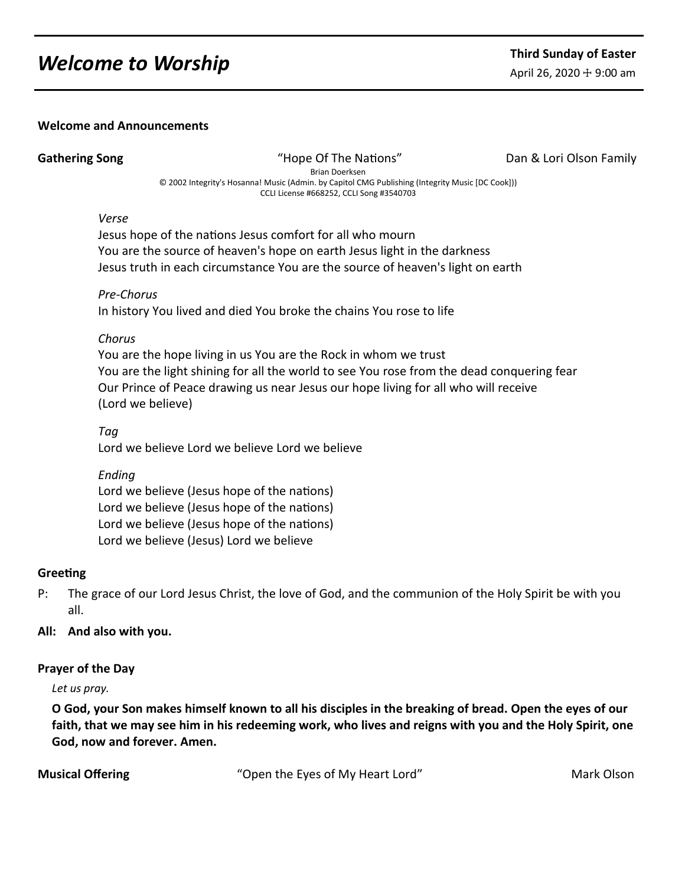# *Welcome to Worship* **Third Sunday of Easter**

## **Welcome and Announcements**

**Gathering Song The Song The Song The Song The Nations"** Dan & Lori Olson Family

Brian Doerksen © 2002 Integrity's Hosanna! Music (Admin. by Capitol CMG Publishing (Integrity Music [DC Cook])) CCLI License #668252, CCLI Song #3540703

# *Verse*

Jesus hope of the nations Jesus comfort for all who mourn You are the source of heaven's hope on earth Jesus light in the darkness Jesus truth in each circumstance You are the source of heaven's light on earth

# *Pre-Chorus*

In history You lived and died You broke the chains You rose to life

# *Chorus*

You are the hope living in us You are the Rock in whom we trust You are the light shining for all the world to see You rose from the dead conquering fear Our Prince of Peace drawing us near Jesus our hope living for all who will receive (Lord we believe)

*Tag* Lord we believe Lord we believe Lord we believe

## *Ending*

Lord we believe (Jesus hope of the nations) Lord we believe (Jesus hope of the nations) Lord we believe (Jesus hope of the nations) Lord we believe (Jesus) Lord we believe

# **Greeting**

P: The grace of our Lord Jesus Christ, the love of God, and the communion of the Holy Spirit be with you all.

# **All: And also with you.**

# **Prayer of the Day**

*Let us pray.*

**O God, your Son makes himself known to all his disciples in the breaking of bread. Open the eyes of our faith, that we may see him in his redeeming work, who lives and reigns with you and the Holy Spirit, one God, now and forever. Amen.**

**Musical Offering The Character of My Heart Lord"** Mark Olson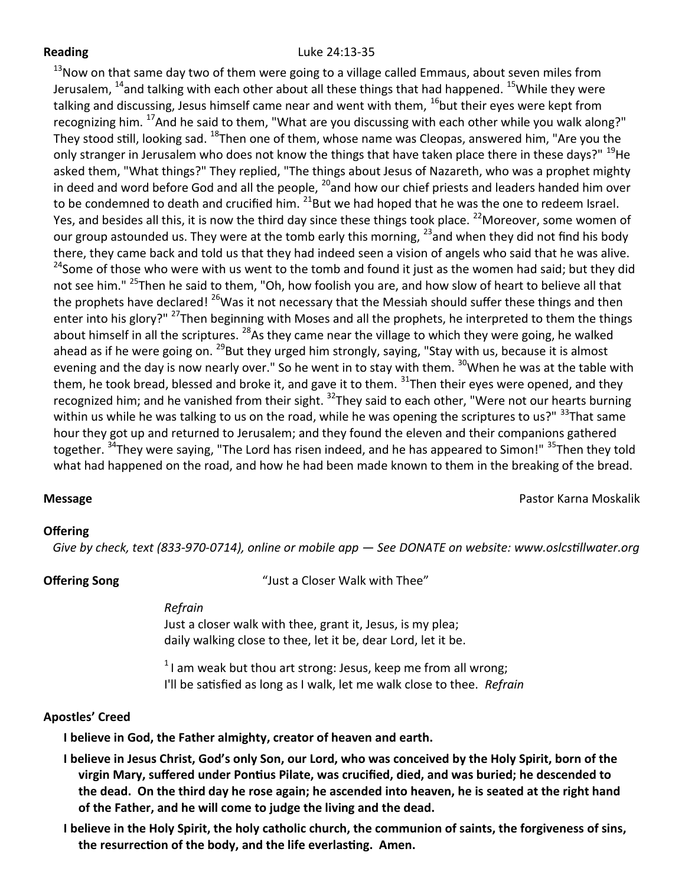## **Reading** Luke 24:13-35

 $13$ Now on that same day two of them were going to a village called Emmaus, about seven miles from Jerusalem,  $^{14}$ and talking with each other about all these things that had happened.  $^{15}$ While they were talking and discussing, Jesus himself came near and went with them, <sup>16</sup>but their eyes were kept from recognizing him. <sup>17</sup>And he said to them, "What are you discussing with each other while you walk along?" They stood still, looking sad. <sup>18</sup>Then one of them, whose name was Cleopas, answered him, "Are you the only stranger in Jerusalem who does not know the things that have taken place there in these days?" <sup>19</sup>He asked them, "What things?" They replied, "The things about Jesus of Nazareth, who was a prophet mighty in deed and word before God and all the people,  $^{20}$  and how our chief priests and leaders handed him over to be condemned to death and crucified him. <sup>21</sup>But we had hoped that he was the one to redeem Israel. Yes, and besides all this, it is now the third day since these things took place. <sup>22</sup>Moreover, some women of our group astounded us. They were at the tomb early this morning, <sup>23</sup> and when they did not find his body there, they came back and told us that they had indeed seen a vision of angels who said that he was alive. <sup>24</sup>Some of those who were with us went to the tomb and found it just as the women had said; but they did not see him." <sup>25</sup>Then he said to them, "Oh, how foolish you are, and how slow of heart to believe all that the prophets have declared! <sup>26</sup>Was it not necessary that the Messiah should suffer these things and then enter into his glory?" <sup>27</sup>Then beginning with Moses and all the prophets, he interpreted to them the things about himself in all the scriptures. <sup>28</sup>As they came near the village to which they were going, he walked ahead as if he were going on. <sup>29</sup>But they urged him strongly, saying, "Stay with us, because it is almost evening and the day is now nearly over." So he went in to stay with them. <sup>30</sup>When he was at the table with them, he took bread, blessed and broke it, and gave it to them. <sup>31</sup>Then their eyes were opened, and they recognized him; and he vanished from their sight.  $32$ They said to each other, "Were not our hearts burning within us while he was talking to us on the road, while he was opening the scriptures to us?" <sup>33</sup>That same hour they got up and returned to Jerusalem; and they found the eleven and their companions gathered together. <sup>34</sup>They were saying, "The Lord has risen indeed, and he has appeared to Simon!" <sup>35</sup>Then they told what had happened on the road, and how he had been made known to them in the breaking of the bread.

# **Message** Pastor Karna Moskalik

## **Offering**

 *Give by check, text (833-970-0714), online or mobile app — See DONATE on website: www.oslcstillwater.org*

**Offering Song** The **Contract Contract Contract Contract Contract Contract Contract Contract Contract Contract Contract Contract Contract Contract Contract Contract Contract Contract Contract Contract Contract Contract Con** 

## *Refrain*

Just a closer walk with thee, grant it, Jesus, is my plea; daily walking close to thee, let it be, dear Lord, let it be.

 $11$  am weak but thou art strong: Jesus, keep me from all wrong; I'll be satisfied as long as I walk, let me walk close to thee. *Refrain*

# **Apostles' Creed**

**I believe in God, the Father almighty, creator of heaven and earth.** 

- **I believe in Jesus Christ, God's only Son, our Lord, who was conceived by the Holy Spirit, born of the virgin Mary, suffered under Pontius Pilate, was crucified, died, and was buried; he descended to the dead. On the third day he rose again; he ascended into heaven, he is seated at the right hand of the Father, and he will come to judge the living and the dead.**
- **I believe in the Holy Spirit, the holy catholic church, the communion of saints, the forgiveness of sins, the resurrection of the body, and the life everlasting. Amen.**